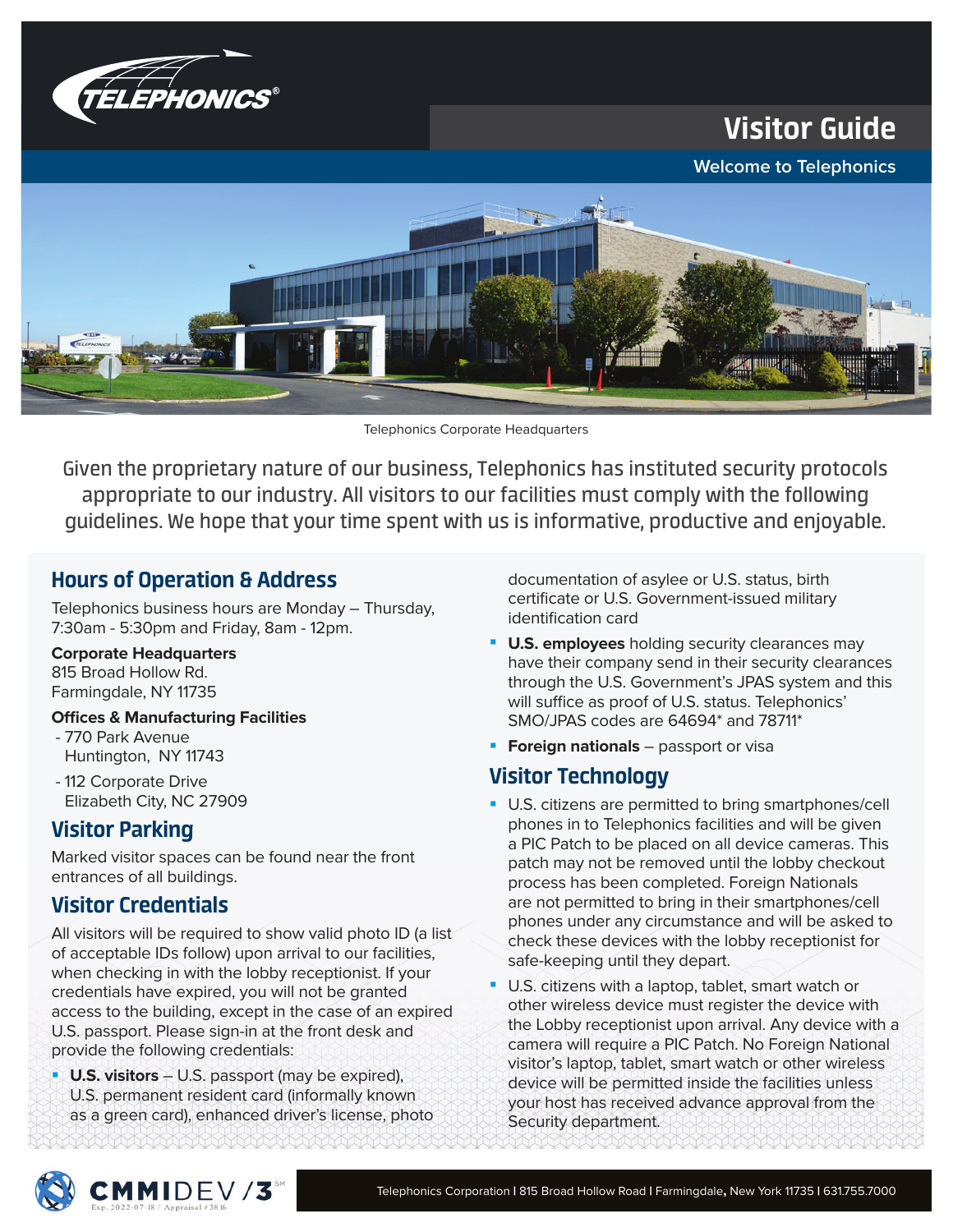

Visitor Guide

**Welcome to Telephonics**



Telephonics Corporate Headquarters

Given the proprietary nature of our business, Telephonics has instituted security protocols appropriate to our industry. All visitors to our facilities must comply with the following guidelines. We hope that your time spent with us is informative, productive and enjoyable.

# Hours of Operation & Address

Telephonics business hours are Monday ― Thursday, 7:30am - 5:30pm and Friday, 8am - 12pm.

#### **Corporate Headquarters**

815 Broad Hollow Rd. Farmingdale, NY 11735

## **Offices & Manufacturing Facilities**

- 770 Park Avenue Huntington, NY 11743
- 112 Corporate Drive Elizabeth City, NC 27909

# Visitor Parking

Marked visitor spaces can be found near the front entrances of all buildings.

# Visitor Credentials

All visitors will be required to show valid photo ID (a list of acceptable IDs follow) upon arrival to our facilities, when checking in with the lobby receptionist. If your credentials have expired, you will not be granted access to the building, except in the case of an expired U.S. passport. Please sign-in at the front desk and provide the following credentials:

**U.S. visitors** – U.S. passport (may be expired), U.S. permanent resident card (informally known as a green card), enhanced driver's license, photo documentation of asylee or U.S. status, birth certificate or U.S. Government-issued military identification card

- **U.S. employees** holding security clearances may have their company send in their security clearances through the U.S. Government's JPAS system and this will suffice as proof of U.S. status. Telephonics' SMO/JPAS codes are 64694\* and 78711\*
- **Foreign nationals** passport or visa

# Visitor Technology

- **U.S. citizens are permitted to bring smartphones/cell** phones in to Telephonics facilities and will be given a PIC Patch to be placed on all device cameras. This patch may not be removed until the lobby checkout process has been completed. Foreign Nationals are not permitted to bring in their smartphones/cell phones under any circumstance and will be asked to check these devices with the lobby receptionist for safe-keeping until they depart.
- **U.S. citizens with a laptop, tablet, smart watch or** other wireless device must register the device with the Lobby receptionist upon arrival. Any device with a camera will require a PIC Patch. No Foreign National visitor's laptop, tablet, smart watch or other wireless device will be permitted inside the facilities unless your host has received advance approval from the Security department.

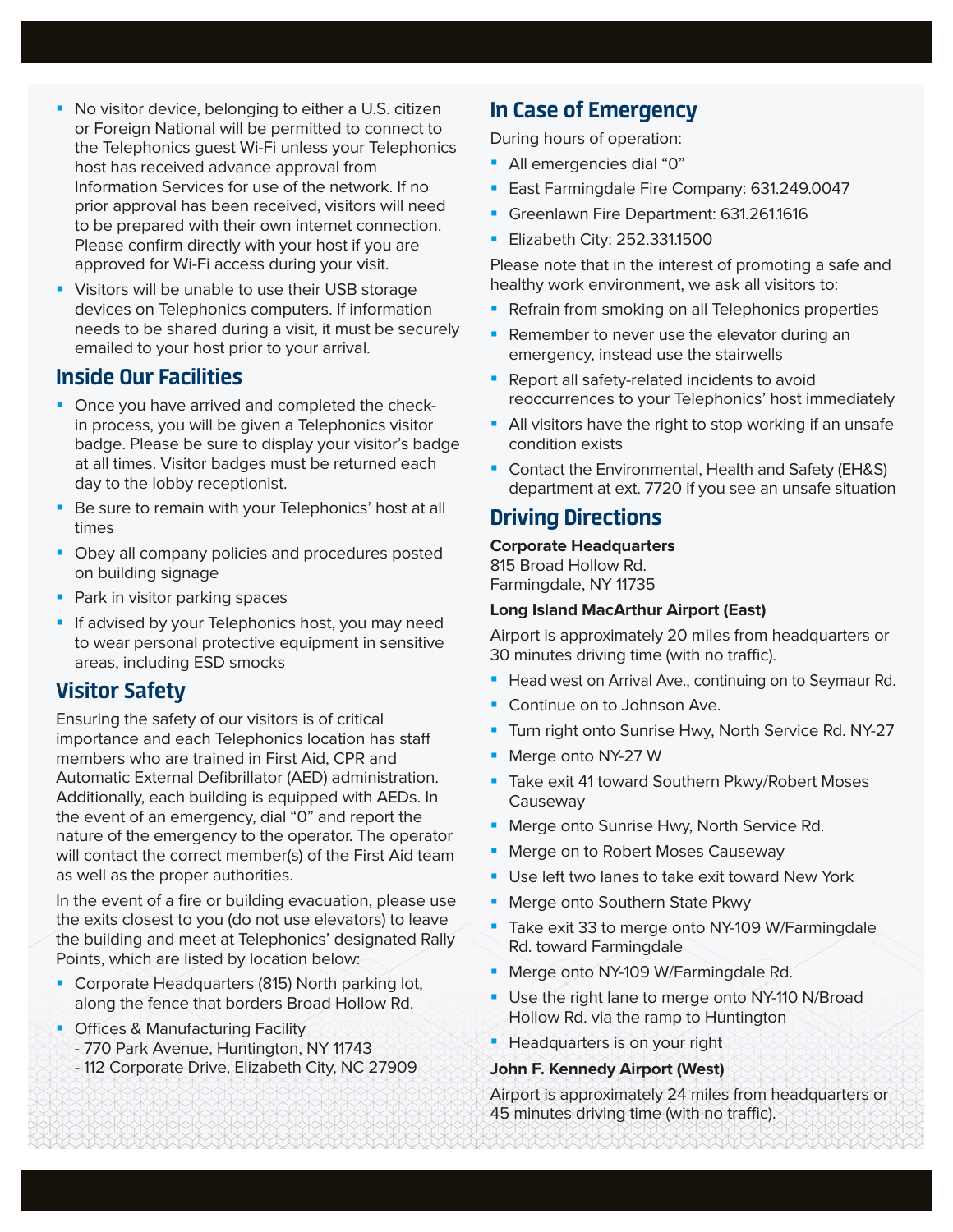- **No visitor device, belonging to either a U.S. citizen** or Foreign National will be permitted to connect to the Telephonics guest Wi-Fi unless your Telephonics host has received advance approval from Information Services for use of the network. If no prior approval has been received, visitors will need to be prepared with their own internet connection. Please confirm directly with your host if you are approved for Wi-Fi access during your visit.
- **Visitors will be unable to use their USB storage** devices on Telephonics computers. If information needs to be shared during a visit, it must be securely emailed to your host prior to your arrival.

# Inside Our Facilities

- Once you have arrived and completed the checkin process, you will be given a Telephonics visitor badge. Please be sure to display your visitor's badge at all times. Visitor badges must be returned each day to the lobby receptionist.
- Be sure to remain with your Telephonics' host at all times
- **Obey all company policies and procedures posted** on building signage
- **Park in visitor parking spaces**
- **If advised by your Telephonics host, you may need** to wear personal protective equipment in sensitive areas, including ESD smocks

# Visitor Safety

Ensuring the safety of our visitors is of critical importance and each Telephonics location has sta members who are trained in First Aid, CPR and Automatic External Defibrillator (AED) administration. Additionally, each building is equipped with AEDs. In the event of an emergency, dial "0" and report the nature of the emergency to the operator. The operator will contact the correct member(s) of the First Aid team as well as the proper authorities.

In the event of a fire or building evacuation, please use the exits closest to you (do not use elevators) to leave the building and meet at Telephonics' designated Rally Points, which are listed by location below:

- **Corporate Headquarters (815) North parking lot,** along the fence that borders Broad Hollow Rd.
- Offices & Manufacturing Facility - 770 Park Avenue, Huntington, NY 11743 - 112 Corporate Drive, Elizabeth City, NC 27909

# In Case of Emergency

During hours of operation:

- All emergencies dial "0"
- **East Farmingdale Fire Company: 631.249.0047**
- Greenlawn Fire Department: 631.261.1616
- **Elizabeth City: 252.331.1500**

Please note that in the interest of promoting a safe and healthy work environment, we ask all visitors to:

- Refrain from smoking on all Telephonics properties
- **Remember to never use the elevator during an** emergency, instead use the stairwells
- **Report all safety-related incidents to avoid** reoccurrences to your Telephonics' host immediately
- **All visitors have the right to stop working if an unsafe** condition exists
- Contact the Environmental, Health and Safety (EH&S) department at ext. 7720 if you see an unsafe situation

# Driving Directions

#### **Corporate Headquarters**  815 Broad Hollow Rd.

Farmingdale, NY 11735

### **Long Island MacArthur Airport (East)**

Airport is approximately 20 miles from headquarters or 30 minutes driving time (with no traffic).

- **Head west on Arrival Ave., continuing on to Seymaur Rd.**
- Continue on to Johnson Ave.
- **Turn right onto Sunrise Hwy, North Service Rd. NY-27**
- Merge onto NY-27 W
- **Take exit 41 toward Southern Pkwy/Robert Moses Causeway**
- **Merge onto Sunrise Hwy, North Service Rd.**
- **Merge on to Robert Moses Causeway**
- **Use left two lanes to take exit toward New York**
- **Merge onto Southern State Pkwy**
- Take exit 33 to merge onto NY-109 W/Farmingdale Rd. toward Farmingdale
- **Merge onto NY-109 W/Farmingdale Rd.**
- **Use the right lane to merge onto NY-110 N/Broad** Hollow Rd. via the ramp to Huntington
- **Headquarters is on your right**

#### **John F. Kennedy Airport (West)**

Airport is approximately 24 miles from headquarters or 45 minutes driving time (with no traffic).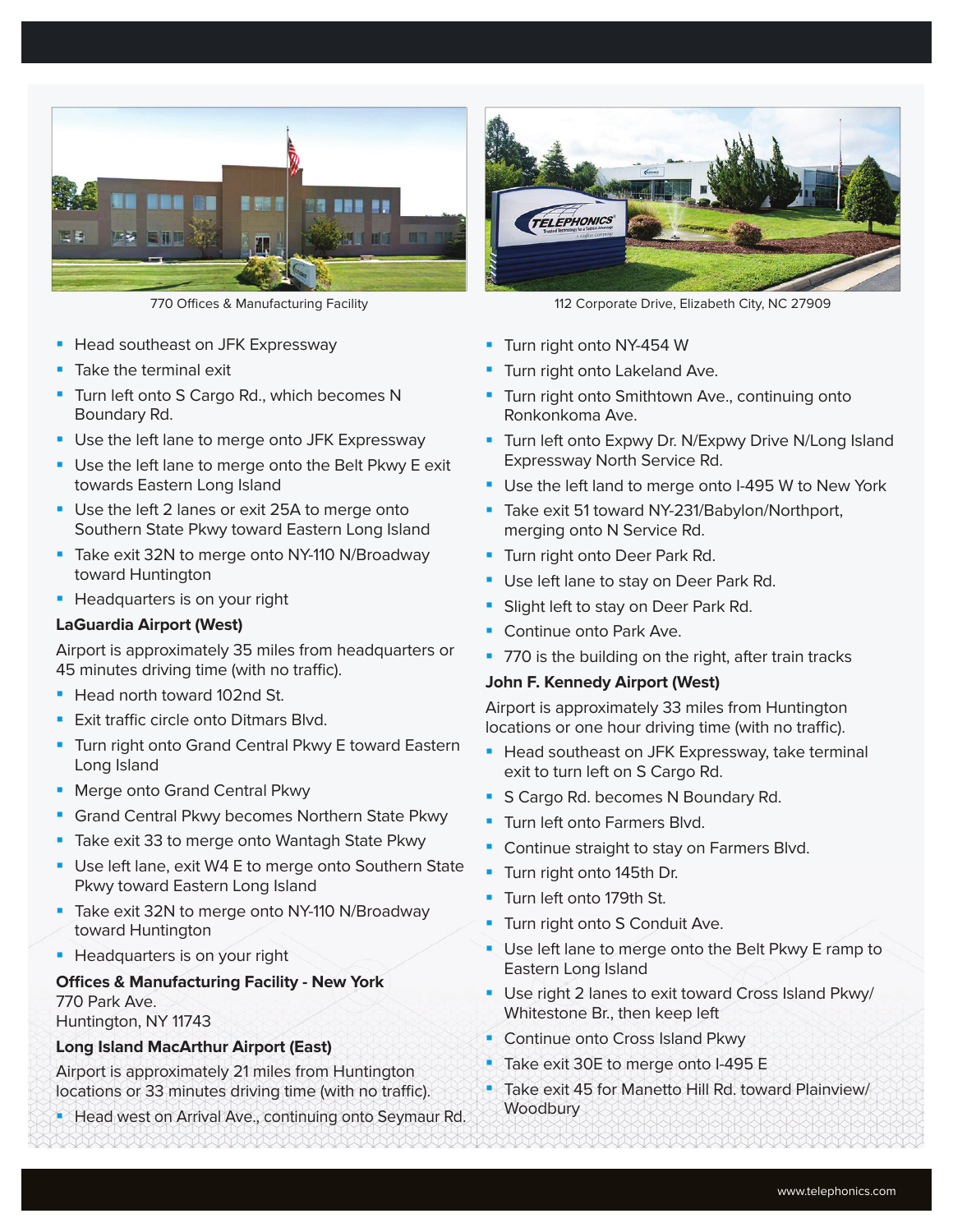

- Head southeast on JFK Expressway
- Take the terminal exit
- **Turn left onto S Cargo Rd., which becomes N** Boundary Rd.
- **Use the left lane to merge onto JFK Expressway**
- **Use the left lane to merge onto the Belt Pkwy E exit** towards Eastern Long Island
- Use the left 2 lanes or exit 25A to merge onto Southern State Pkwy toward Eastern Long Island
- Take exit 32N to merge onto NY-110 N/Broadway toward Huntington
- **Headquarters is on your right**

#### **LaGuardia Airport (West)**

Airport is approximately 35 miles from headquarters or 45 minutes driving time (with no traffic).

- Head north toward 102nd St.
- Exit traffic circle onto Ditmars Blvd.
- **Turn right onto Grand Central Pkwy E toward Eastern** Long Island
- **Merge onto Grand Central Pkwy**
- Grand Central Pkwy becomes Northern State Pkwy
- **Take exit 33 to merge onto Wantagh State Pkwy**
- Use left lane, exit W4 E to merge onto Southern State Pkwy toward Eastern Long Island
- Take exit 32N to merge onto NY-110 N/Broadway toward Huntington
- **Headquarters is on your right**

#### **Offices & Manufacturing Facility - New York** 770 Park Ave. Huntington, NY 11743

#### **Long Island MacArthur Airport (East)**

Airport is approximately 21 miles from Huntington locations or 33 minutes driving time (with no traffic).

**Head west on Arrival Ave., continuing onto Seymaur Rd.** 



770 Offices & Manufacturing Facility 112 Corporate Drive, Elizabeth City, NC 27909

- **Turn right onto NY-454 W**
- Turn right onto Lakeland Ave.
- **Turn right onto Smithtown Ave., continuing onto** Ronkonkoma Ave.
- **Turn left onto Expwy Dr. N/Expwy Drive N/Long Island** Expressway North Service Rd.
- **Use the left land to merge onto I-495 W to New York**
- **Take exit 51 toward NY-231/Babylon/Northport,** merging onto N Service Rd.
- **Turn right onto Deer Park Rd.**
- **Use left lane to stay on Deer Park Rd.**
- Slight left to stay on Deer Park Rd.
- Continue onto Park Ave.
- 770 is the building on the right, after train tracks

#### **John F. Kennedy Airport (West)**

Airport is approximately 33 miles from Huntington locations or one hour driving time (with no traffic).

- **Head southeast on JFK Expressway, take terminal** exit to turn left on S Cargo Rd.
- S Cargo Rd. becomes N Boundary Rd.
- **Turn left onto Farmers Blvd.**
- **Continue straight to stay on Farmers Blvd.**
- **Turn right onto 145th Dr.**
- **Turn left onto 179th St.**
- **Turn right onto S Conduit Ave.**
- Use left lane to merge onto the Belt Pkwy E ramp to Eastern Long Island
- **Use right 2 lanes to exit toward Cross Island Pkwy/** Whitestone Br., then keep left
- **Continue onto Cross Island Pkwy**
- Take exit 30E to merge onto I-495 E
- Take exit 45 for Manetto Hill Rd. toward Plainview/ **Woodbury**